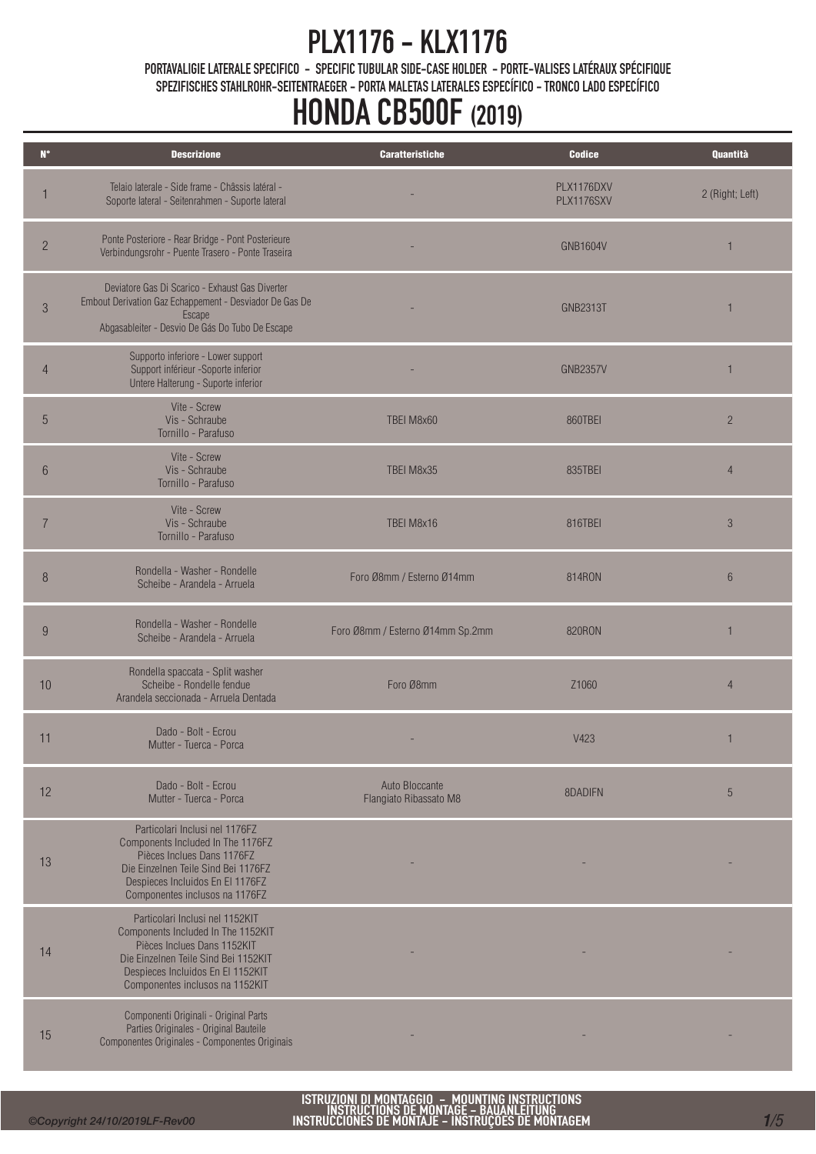PORTAVALIGIE LATERALE SPECIFICO - SPECIFIC TUBULAR SIDE-CASE HOLDER - PORTE-VALISES LATÉRAUX SPÉCIFIQUE SPEZIFISCHES STAHLROHR-SEITENTRAEGER - PORTA MALETAS LATERALES ESPECÍFICO - TRONCO LADO ESPECÍFICO

# HONDA CB500F (2019)

| $N^{\circ}$     | <b>Descrizione</b>                                                                                                                                                                                                   | <b>Caratteristiche</b>                   | <b>Codice</b>            | Quantità        |
|-----------------|----------------------------------------------------------------------------------------------------------------------------------------------------------------------------------------------------------------------|------------------------------------------|--------------------------|-----------------|
|                 | Telaio laterale - Side frame - Châssis latéral -<br>Soporte lateral - Seitenrahmen - Suporte lateral                                                                                                                 |                                          | PLX1176DXV<br>PLX1176SXV | 2 (Right; Left) |
| $\overline{c}$  | Ponte Posteriore - Rear Bridge - Pont Posterieure<br>Verbindungsrohr - Puente Trasero - Ponte Traseira                                                                                                               |                                          | <b>GNB1604V</b>          | $\mathbf{1}$    |
| 3               | Deviatore Gas Di Scarico - Exhaust Gas Diverter<br>Embout Derivation Gaz Echappement - Desviador De Gas De<br>Escape<br>Abgasableiter - Desvio De Gás Do Tubo De Escape                                              |                                          | <b>GNB2313T</b>          | 1               |
| 4               | Supporto inferiore - Lower support<br>Support inférieur -Soporte inferior<br>Untere Halterung - Suporte inferior                                                                                                     |                                          | <b>GNB2357V</b>          | 1               |
| 5               | Vite - Screw<br>Vis - Schraube<br>Tornillo - Parafuso                                                                                                                                                                | TBEI M8x60                               | 860TBEI                  | $\overline{2}$  |
| $6\phantom{.}6$ | Vite - Screw<br>Vis - Schraube<br>Tornillo - Parafuso                                                                                                                                                                | TBEI M8x35                               | 835TBEI                  | $\overline{4}$  |
| $\overline{7}$  | Vite - Screw<br>Vis - Schraube<br>Tornillo - Parafuso                                                                                                                                                                | TBEI M8x16                               | 816TBEI                  | $\mathcal{S}$   |
| 8               | Rondella - Washer - Rondelle<br>Scheibe - Arandela - Arruela                                                                                                                                                         | Foro Ø8mm / Esterno Ø14mm                | 814RON                   | $6\phantom{.}6$ |
| 9               | Rondella - Washer - Rondelle<br>Scheibe - Arandela - Arruela                                                                                                                                                         | Foro Ø8mm / Esterno Ø14mm Sp.2mm         | <b>820RON</b>            | 1               |
| 10              | Rondella spaccata - Split washer<br>Scheibe - Rondelle fendue<br>Arandela seccionada - Arruela Dentada                                                                                                               | Foro Ø8mm                                | Z1060                    | $\overline{4}$  |
| 11              | Dado - Bolt - Ecrou<br>Mutter - Tuerca - Porca                                                                                                                                                                       |                                          | V423                     | 1               |
| 12              | Dado - Bolt - Ecrou<br>Mutter - Tuerca - Porca                                                                                                                                                                       | Auto Bloccante<br>Flangiato Ribassato M8 | 8DADIEN                  | 5               |
| 13              | Particolari Inclusi nel 1176FZ<br>Components Included In The 1176FZ<br>Pièces Inclues Dans 1176FZ<br>Die Einzelnen Teile Sind Bei 1176FZ<br>Despieces Incluidos En El 1176FZ<br>Componentes inclusos na 1176FZ       |                                          |                          |                 |
| 14              | Particolari Inclusi nel 1152KIT<br>Components Included In The 1152KIT<br>Pièces Inclues Dans 1152KIT<br>Die Einzelnen Teile Sind Bei 1152KIT<br>Despieces Incluidos En El 1152KIT<br>Componentes inclusos na 1152KIT |                                          |                          |                 |
| 15              | Componenti Originali - Original Parts<br>Parties Originales - Original Bauteile<br>Componentes Originales - Componentes Originais                                                                                    |                                          |                          |                 |

ISTRUZIONI DI MONTAGGIO – MOUNTING INSTRUCTIONS<br>INSTRUCTIONS DE MONTAGE – BAUANLEITUNG<br>INSTRUCCIONES DE MONTAJE – INSTRUÇÕES DE MONTAGEM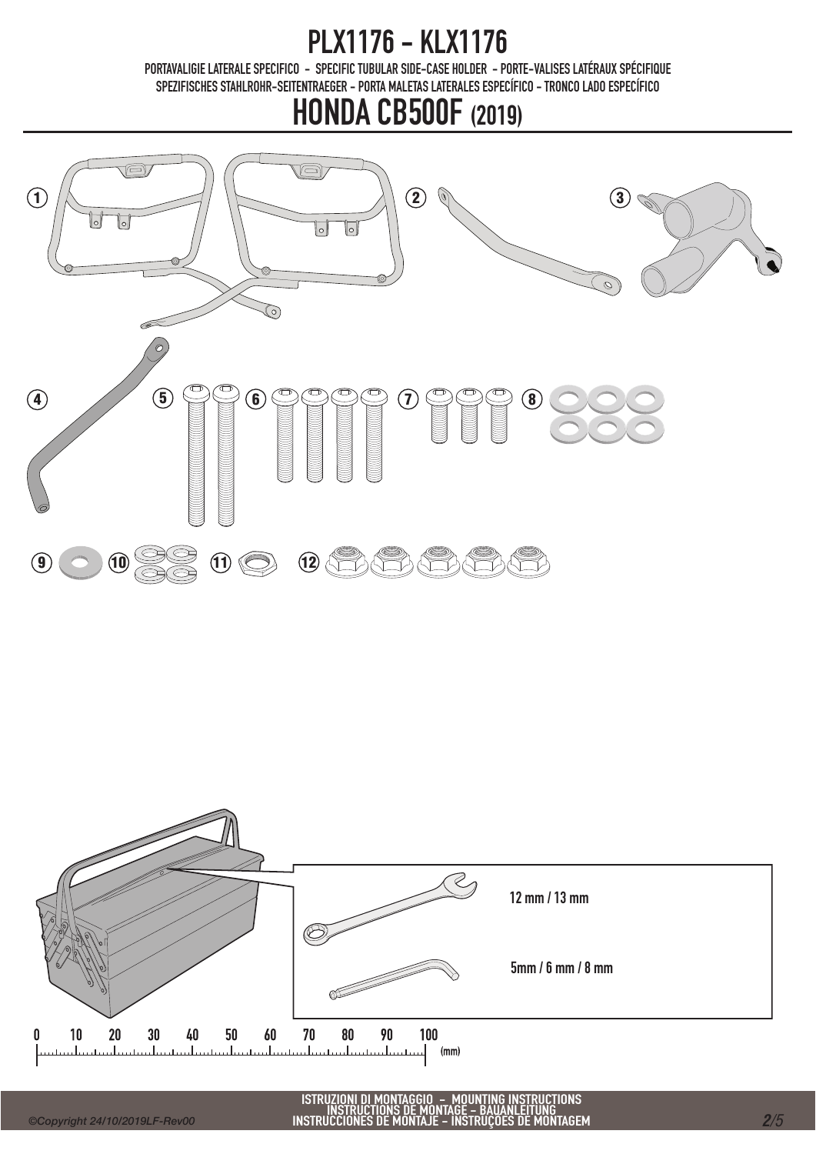PORTAVALIGIE LATERALE SPECIFICO - SPECIFIC TUBULAR SIDE-CASE HOLDER - PORTE-VALISES LATÉRAUX SPÉCIFIQUE SPEZIFISCHES STAHLROHR-SEITENTRAEGER - PORTA MALETAS LATERALES ESPECÍFICO - TRONCO LADO ESPECÍFICO

### HONDA CB500F (2019)



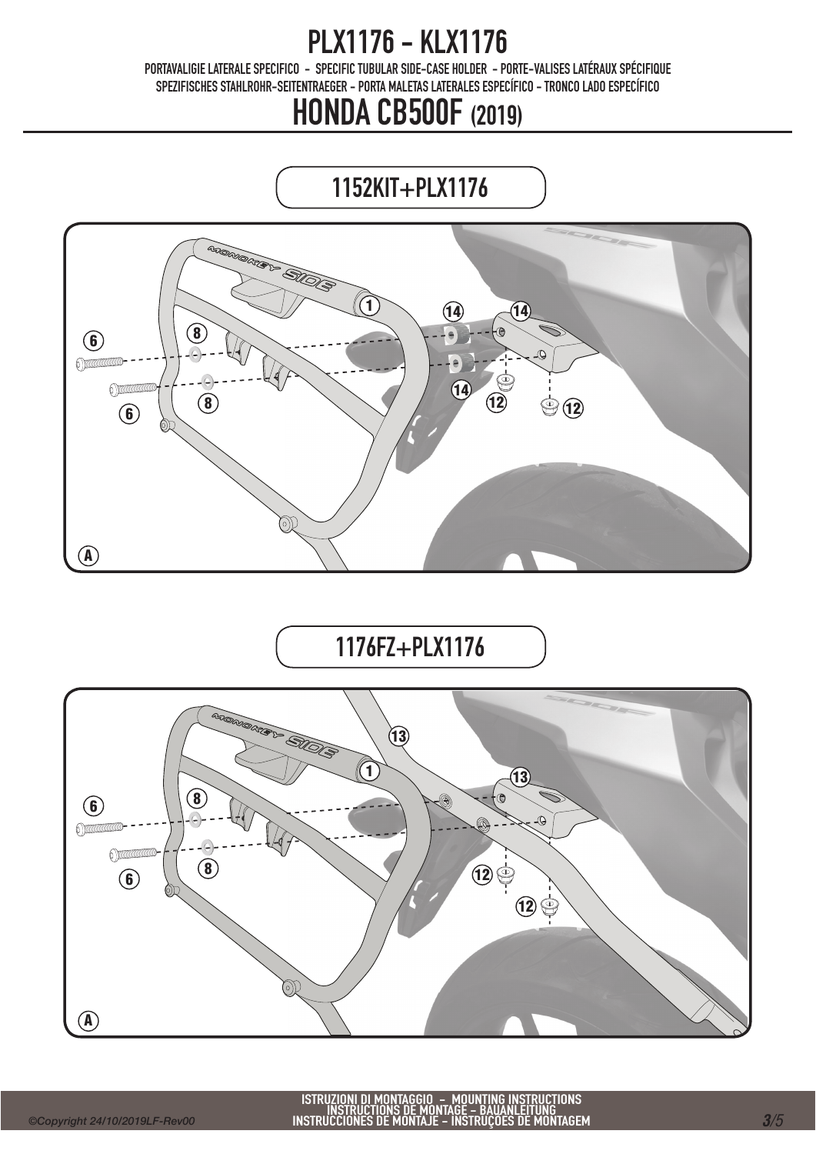PORTAVALIGIE LATERALE SPECIFICO - SPECIFIC TUBULAR SIDE-CASE HOLDER - PORTE-VALISES LATÉRAUX SPÉCIFIQUE SPEZIFISCHES STAHLROHR-SEITENTRAEGER - PORTA MALETAS LATERALES ESPECÍFICO - TRONCO LADO ESPECÍFICO

## HONDA CB500F (2019)

## 1152KIT+PLX1176



1176FZ+PLX1176

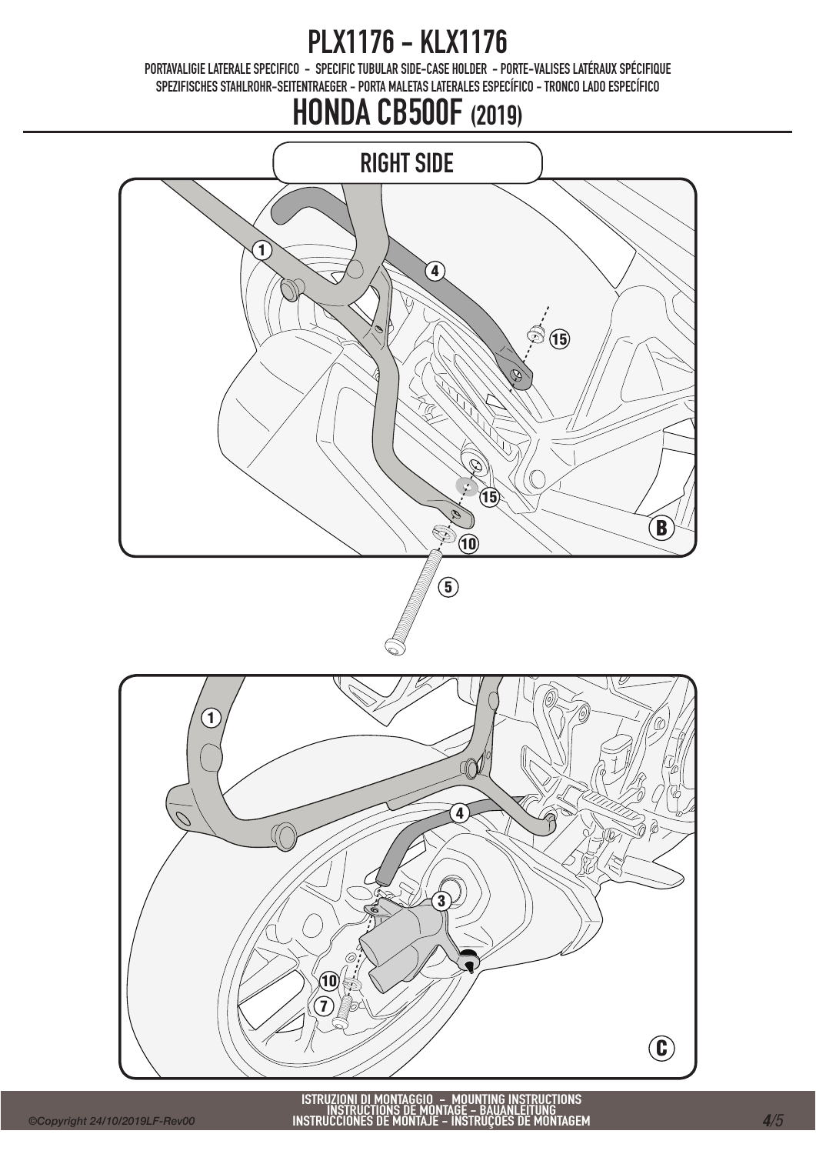PORTAVALIGIE LATERALE SPECIFICO - SPECIFIC TUBULAR SIDE-CASE HOLDER - PORTE-VALISES LATÉRAUX SPÉCIFIQUE SPEZIFISCHES STAHLROHR-SEITENTRAEGER - PORTA MALETAS LATERALES ESPECÍFICO - TRONCO LADO ESPECÍFICO

## HONDA CB500F (2019)